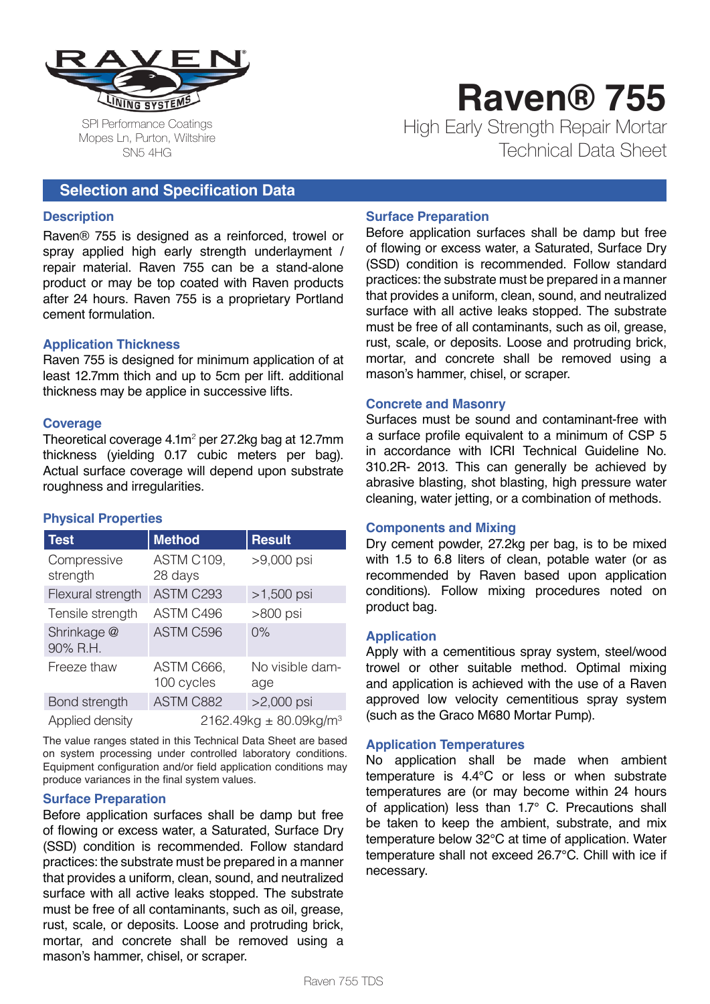

SPI Performance Coatings Mopes Ln, Purton, Wiltshire SN5 4HG

**Raven® 755** High Early Strength Repair Mortar Technical Data Sheet

# **Selection and Specification Data**

### **Description**

Raven® 755 is designed as a reinforced, trowel or spray applied high early strength underlayment / repair material. Raven 755 can be a stand-alone product or may be top coated with Raven products after 24 hours. Raven 755 is a proprietary Portland cement formulation.

### **Application Thickness**

Raven 755 is designed for minimum application of at least 12.7mm thich and up to 5cm per lift. additional thickness may be applice in successive lifts.

### **Coverage**

Theoretical coverage  $4.1m^2$  per 27.2kg bag at 12.7mm thickness (yielding 0.17 cubic meters per bag). Actual surface coverage will depend upon substrate roughness and irregularities.

### **Physical Properties**

| <b>Test</b>             | <b>Method</b>                         | <b>Result</b>          |
|-------------------------|---------------------------------------|------------------------|
| Compressive<br>strength | ASTM C109,<br>28 days                 | >9,000 psi             |
| Flexural strength       | <b>ASTM C293</b>                      | $>1,500$ psi           |
| Tensile strength        | ASTM C496                             | >800 psi               |
| Shrinkage @<br>90% R.H. | ASTM C596                             | 0%                     |
| Freeze thaw             | ASTM C666,<br>100 cycles              | No visible dam-<br>age |
| Bond strength           | ASTM C882                             | $>2,000$ psi           |
| Applied density         | $2162.49$ kg ± 80.09kg/m <sup>3</sup> |                        |

The value ranges stated in this Technical Data Sheet are based on system processing under controlled laboratory conditions. Equipment configuration and/or field application conditions may produce variances in the final system values.

### **Surface Preparation**

Before application surfaces shall be damp but free of flowing or excess water, a Saturated, Surface Dry (SSD) condition is recommended. Follow standard practices: the substrate must be prepared in a manner that provides a uniform, clean, sound, and neutralized surface with all active leaks stopped. The substrate must be free of all contaminants, such as oil, grease, rust, scale, or deposits. Loose and protruding brick, mortar, and concrete shall be removed using a mason's hammer, chisel, or scraper.

### **Surface Preparation**

Before application surfaces shall be damp but free of flowing or excess water, a Saturated, Surface Dry (SSD) condition is recommended. Follow standard practices: the substrate must be prepared in a manner that provides a uniform, clean, sound, and neutralized surface with all active leaks stopped. The substrate must be free of all contaminants, such as oil, grease, rust, scale, or deposits. Loose and protruding brick, mortar, and concrete shall be removed using a mason's hammer, chisel, or scraper.

### **Concrete and Masonry**

Surfaces must be sound and contaminant-free with a surface profile equivalent to a minimum of CSP 5 in accordance with ICRI Technical Guideline No. 310.2R- 2013. This can generally be achieved by abrasive blasting, shot blasting, high pressure water cleaning, water jetting, or a combination of methods.

### **Components and Mixing**

Dry cement powder, 27.2kg per bag, is to be mixed with 1.5 to 6.8 liters of clean, potable water (or as recommended by Raven based upon application conditions). Follow mixing procedures noted on product bag.

### **Application**

Apply with a cementitious spray system, steel/wood trowel or other suitable method. Optimal mixing and application is achieved with the use of a Raven approved low velocity cementitious spray system (such as the Graco M680 Mortar Pump).

### **Application Temperatures**

No application shall be made when ambient temperature is 4.4°C or less or when substrate temperatures are (or may become within 24 hours of application) less than 1.7° C. Precautions shall be taken to keep the ambient, substrate, and mix temperature below 32°C at time of application. Water temperature shall not exceed 26.7°C. Chill with ice if necessary.